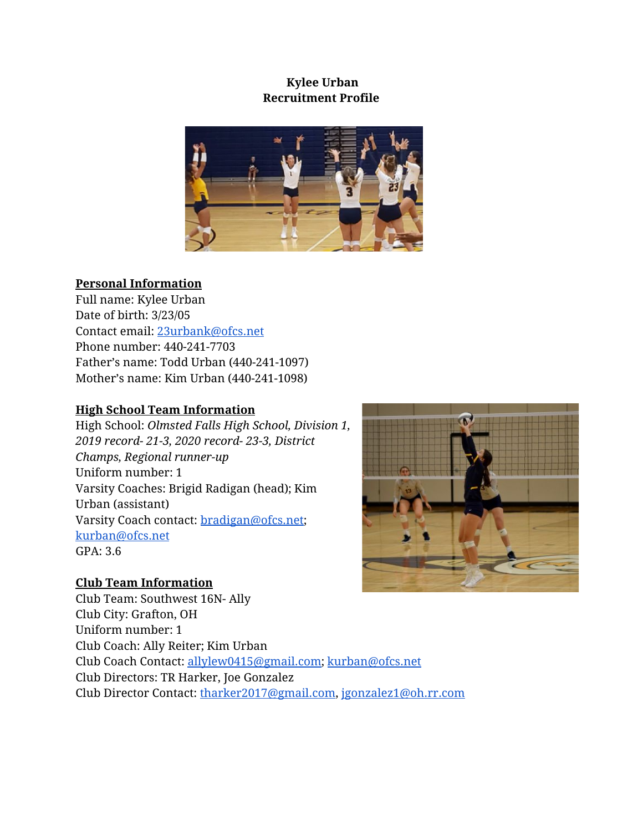## **Kylee Urban Recruitment Profile**



### **Personal Information**

Full name: Kylee Urban Date of birth: 3/23/05 Contact email: [23urbank@ofcs.net](mailto:23urbank@ofcs.net) Phone number: 440-241-7703 Father's name: Todd Urban (440-241-1097) Mother's name: Kim Urban (440-241-1098)

## **High School Team Information**

High School: *Olmsted Falls High School, Division 1, 2019 record- 21-3, 2020 record- 23-3, District Champs, Regional runner-up* Uniform number: 1 Varsity Coaches: Brigid Radigan (head); Kim Urban (assistant) Varsity Coach contact: [bradigan@ofcs.net;](mailto:bradigan@ofcs.net) [kurban@ofcs.net](mailto:kurban@ofcs.net) GPA: 3.6

### **Club Team Information**

Club Team: Southwest 16N- Ally Club City: Grafton, OH Uniform number: 1 Club Coach: Ally Reiter; Kim Urban Club Coach Contact: [allylew0415@gmail.com](mailto:allylew0415@gmail.com); [kurban@ofcs.net](mailto:kurban@ofcs.net) Club Directors: TR Harker, Joe Gonzalez Club Director Contact: [tharker2017@gmail.com,](mailto:tharker2017@gmail.com) [jgonzalez1@oh.rr.com](mailto:jgonzalez1@oh.rr.com)

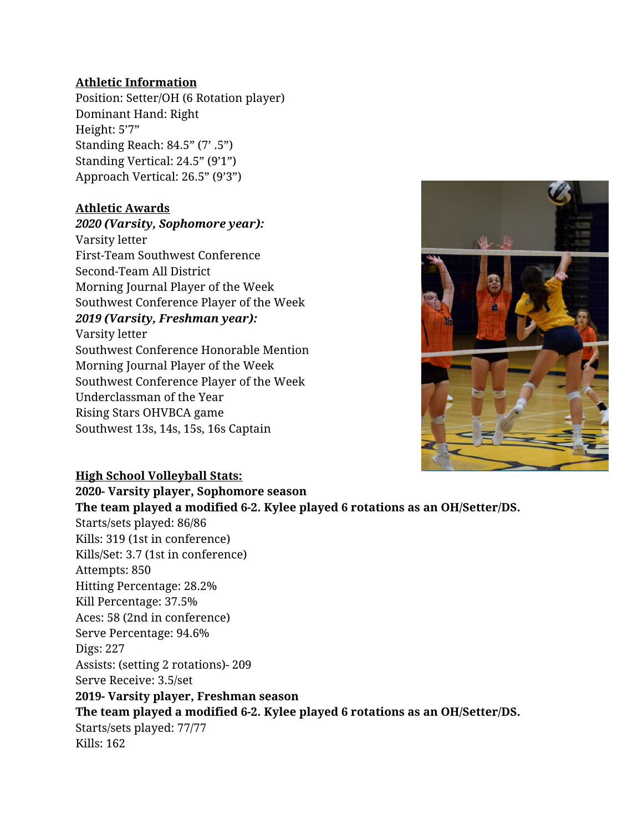#### **Athletic Information**

Position: Setter/OH (6 Rotation player) Dominant Hand: Right Height: 5'7" Standing Reach: 84.5" (7' .5") Standing Vertical: 24.5" (9'1") Approach Vertical: 26.5" (9'3")

#### **Athletic Awards**

*2020 (Varsity, Sophomore year):* Varsity letter First-Team Southwest Conference Second-Team All District Morning Journal Player of the Week Southwest Conference Player of the Week *2019 (Varsity, Freshman year):* Varsity letter Southwest Conference Honorable Mention Morning Journal Player of the Week Southwest Conference Player of the Week Underclassman of the Year Rising Stars OHVBCA game Southwest 13s, 14s, 15s, 16s Captain



# **High School Volleyball Stats: 2020- Varsity player, Sophomore season The team played a modified 6-2. Kylee played 6 rotations as an OH/Setter/DS.** Starts/sets played: 86/86 Kills: 319 (1st in conference) Kills/Set: 3.7 (1st in conference) Attempts: 850 Hitting Percentage: 28.2% Kill Percentage: 37.5% Aces: 58 (2nd in conference) Serve Percentage: 94.6% Digs: 227 Assists: (setting 2 rotations)- 209 Serve Receive: 3.5/set **2019- Varsity player, Freshman season The team played a modified 6-2. Kylee played 6 rotations as an OH/Setter/DS.** Starts/sets played: 77/77 Kills: 162